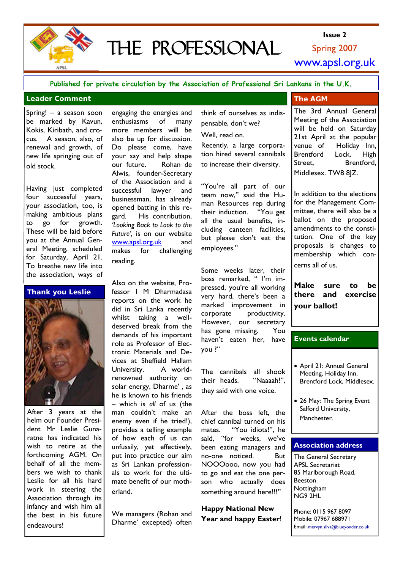

# THE PROFESSIONAL

Spring 2007 **Issue 2**  www.apsl.org.uk

**Published for private circulation by the Association of Professional Sri Lankans in the U.K.**

### **Leader Comment**

Spring! – a season soon be marked by Kavun, Kokis, Kiribath, and crocus. A season, also, of renewal and growth, of new life springing out of old stock.

Having just completed four successful years, your association, too, is making ambitious plans to go for growth. These will be laid before you at the Annual General Meeting, scheduled for Saturday, April 21. To breathe new life into the association, ways of

## **Thank you Leslie**



After 3 years at the helm our Founder President Mr Leslie Gunaratne has indicated his wish to retire at the forthcoming AGM. On behalf of all the members we wish to thank Leslie for all his hard work in steering the Association through its infancy and wish him all the best in his future endeavours!

engaging the energies and enthusiasms of many more members will be also be up for discussion. Do please come, have your say and help shape our future. Rohan de Alwis, founder-Secretary of the Association and a successful lawyer and businessman, has already opened batting in this regard. His contribution, *'Looking Back to Look to the Future'*, is on our website www.apsl.org.uk and makes for challenging reading.

Also on the website, Professor I M Dharmadasa reports on the work he did in Sri Lanka recently whilst taking a welldeserved break from the demands of his important role as Professor of Electronic Materials and Devices at Sheffield Hallam University. A worldrenowned authority on solar energy, Dharme' , as he is known to his friends – which is *all* of us (the man couldn't make an enemy even if he tried!), provides a telling example of how each of us can unfussily, yet effectively, put into practice our aim as Sri Lankan professionals to work for the ultimate benefit of our motherland.

We managers (Rohan and Dharme' excepted) often

## think of ourselves as indispensable, don't we?

Well, read on.

Recently, a large corporation hired several cannibals to increase their diversity.

"You're all part of our team now," said the Human Resources rep during their induction. "You get all the usual benefits, including canteen facilities, but please don't eat the employees."

Some weeks later, their boss remarked, " I'm impressed, you're all working very hard, there's been a marked improvement in corporate productivity. However, our secretary has gone missing. You haven't eaten her, have you ?"

The cannibals all shook their heads. "Naaaah!", they said with one voice.

After the boss left, the chief cannibal turned on his mates. "You idiots!", he said, "for weeks, we've been eating managers and no-one noticed. But NOOOooo, now you had to go and eat the one person who actually does something around here!!!"

**Happy National New Year and happy Easter**!

## **The AGM**

The 3rd Annual General Meeting of the Association will be held on Saturday 21st April at the popular venue of Holiday Inn, Brentford Lock, High Street. Brentford, Middlesex. TW8 8JZ.

In addition to the elections for the Management Committee, there will also be a ballot on the proposed amendments to the constitution. One of the key proposals is changes to membership which concerns all of us.

**Make sure to be there and exercise your ballot!** 

## **Events calendar**

- April 21: Annual General Meeting, Holiday Inn, Brentford Lock, Middlesex.
- 26 May: The Spring Event Salford University, Manchester.

## **Association address**

The General Secretary APSL Secretariat 85 Marlborough Road, Beeston **Nottingham** NG9 2HL

Phone: 0115 967 8097 Mobile: 07967 688971 Email: mervyn.silva@blueyonder.co.uk